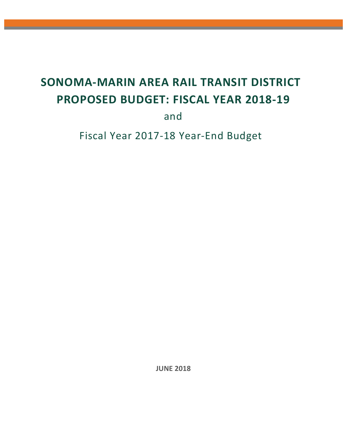# **SONOMA‐MARIN AREA RAIL TRANSIT DISTRICT PROPOSED BUDGET: FISCAL YEAR 2018‐19**

and

Fiscal Year 2017‐18 Year‐End Budget

 **JUNE 2018**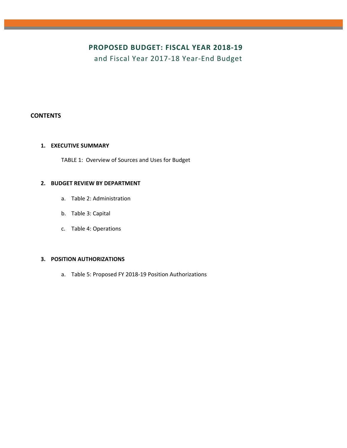## **PROPOSED BUDGET: FISCAL YEAR 2018‐19**

and Fiscal Year 2017‐18 Year‐End Budget

#### **CONTENTS**

#### **1. EXECUTIVE SUMMARY**

TABLE 1: Overview of Sources and Uses for Budget

#### **2. BUDGET REVIEW BY DEPARTMENT**

- a. Table 2: Administration
- b. Table 3: Capital
- c. Table 4: Operations

#### **3. POSITION AUTHORIZATIONS**

a. Table 5: Proposed FY 2018‐19 Position Authorizations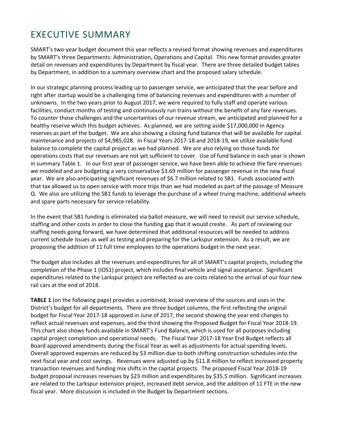## EXECUTIVE SUMMARY

SMART's two‐year budget document this year reflects a revised format showing revenues and expenditures by SMART's three Departments: Administration, Operations and Capital. This new format provides greater detail on revenues and expenditures by Department by fiscal year. There are three detailed budget tables by Department, in addition to a summary overview chart and the proposed salary schedule.

In our strategic planning process leading up to passenger service, we anticipated that the year before and right after startup would be a challenging time of balancing revenues and expenditures with a number of unknowns. In the two years prior to August 2017, we were required to fully staff and operate various facilities, conduct months of testing and continuously run trains without the benefit of any fare revenues. To counter those challenges and the uncertainties of our revenue stream, we anticipated and planned for a healthy reserve which this budget achieves. As planned, we are setting aside \$17,000,000 in Agency reserves as part of the budget. We are also showing a closing fund balance that will be available for capital maintenance and projects of \$4,985,028. In Fiscal Years 2017‐18 and 2018‐19, we utilize available fund balance to complete the capital project as we had planned. We are also relying on those funds for operations costs that our revenues are not yet sufficient to cover. Use of fund balance in each year is shown in summary Table 1. In our first year of passenger service, we have been able to achieve the fare revenues we modeled and are budgeting a very conservative \$3.69 million for passenger revenue in the new fiscal year. We are also anticipating significant revenues of \$6.7 million related to SB1. Funds associated with that tax allowed us to open service with more trips than we had modeled as part of the passage of Measure Q. We also are utilizing the SB1 funds to leverage the purchase of a wheel truing machine, additional wheels and spare parts necessary for service reliability.

In the event that SB1 funding is eliminated via ballot measure, we will need to revisit our service schedule, staffing and other costs in order to close the funding gap that it would create. As part of reviewing our staffing needs going forward, we have determined that additional resources will be needed to address current schedule issues as well as testing and preparing for the Larkspur extension. As a result, we are proposing the addition of 11 full time employees to the operations budget in the next year.

The budget also includes all the revenues and expenditures for all of SMART's capital projects, including the completion of the Phase 1 (IOS1) project, which includes final vehicle and signal acceptance. Significant expenditures related to the Larkspur project are reflected as are costs related to the arrival of our four new rail cars at the end of 2018.

**TABLE 1** (on the following page) provides a combined, broad overview of the sources and uses in the District's budget for all departments. There are three budget columns, the first reflecting the original budget for Fiscal Year 2017‐18 approved in June of 2017, the second showing the year end changes to reflect actual revenues and expenses, and the third showing the Proposed Budget for Fiscal Year 2018‐19. This chart also shows funds available in SMART's Fund Balance, which is used for all purposes including capital project completion and operational needs. The Fiscal Year 2017‐18 Year End Budget reflects all Board approved amendments during the Fiscal Year as well as adjustments for actual spending levels. Overall approved expenses are reduced by \$3 million due to both shifting construction schedules into the next fiscal year and cost savings. Revenues were adjusted up by \$11.8 million to reflect increased property transaction revenues and funding mix shifts in the capital projects. The proposed Fiscal Year 2018‐19 budget proposal increases revenues by \$23 million and expenditures by \$35.5 million. Significant increases are related to the Larkspur extension project, increased debt service, and the addition of 11 FTE in the new fiscal year. More discussion is included in the Budget by Department sections.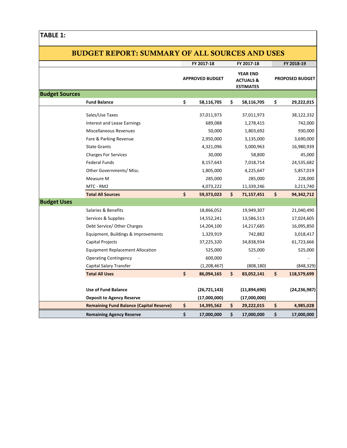### **TABLE 1:**

|                       | <b>BUDGET REPORT: SUMMARY OF ALL SOURCES AND USES</b> |                    |                                                                                       |     |                        |    |                |
|-----------------------|-------------------------------------------------------|--------------------|---------------------------------------------------------------------------------------|-----|------------------------|----|----------------|
|                       |                                                       |                    | FY 2017-18                                                                            |     | FY 2017-18             |    | FY 2018-19     |
|                       |                                                       |                    | <b>YEAR END</b><br><b>APPROVED BUDGET</b><br><b>ACTUALS &amp;</b><br><b>ESTIMATES</b> |     | <b>PROPOSED BUDGET</b> |    |                |
| <b>Budget Sources</b> |                                                       |                    |                                                                                       |     |                        |    |                |
|                       | <b>Fund Balance</b>                                   | \$                 | 58,116,705                                                                            | \$  | 58,116,705             | \$ | 29,222,015     |
|                       | Sales/Use Taxes                                       |                    | 37,011,973                                                                            |     | 37,011,973             |    | 38,122,332     |
|                       | Interest and Lease Earnings                           |                    | 689,088                                                                               |     | 1,278,415              |    | 742,000        |
|                       | Miscellaneous Revenues                                |                    | 50,000                                                                                |     | 1,803,692              |    | 930,000        |
|                       | Fare & Parking Revenue                                |                    | 2,950,000                                                                             |     | 3,135,000              |    | 3,690,000      |
|                       | <b>State Grants</b>                                   |                    | 4,321,096                                                                             |     | 5,000,963              |    | 16,980,939     |
|                       | <b>Charges For Services</b>                           |                    | 30,000                                                                                |     | 58,800                 |    | 45,000         |
|                       | <b>Federal Funds</b>                                  |                    | 8,157,643                                                                             |     | 7,018,714              |    | 24,535,682     |
|                       | Other Governments/ Misc.                              |                    | 1,805,000                                                                             |     | 4,225,647              |    | 5,857,019      |
|                       | Measure M                                             |                    | 285,000                                                                               |     | 285,000                |    | 228,000        |
|                       | MTC - RM2                                             |                    | 4,073,222                                                                             |     | 11,339,246             |    | 3,211,740      |
|                       | <b>Total All Sources</b>                              | \$                 | 59,373,023                                                                            | \$  | 71,157,451             | \$ | 94,342,712     |
| <b>Budget Uses</b>    |                                                       |                    |                                                                                       |     |                        |    |                |
|                       | Salaries & Benefits                                   |                    | 18,866,052                                                                            |     | 19,949,307             |    | 21,040,490     |
|                       | Services & Supplies                                   |                    | 14,552,241                                                                            |     | 13,586,513             |    | 17,024,605     |
|                       | Debt Service/ Other Charges                           |                    | 14,204,100                                                                            |     | 14,217,685             |    | 16,095,850     |
|                       | Equipment, Buildings & Improvements                   |                    | 1,329,919                                                                             |     | 742,882                |    | 3,018,417      |
|                       | Capital Projects                                      |                    | 37,225,320                                                                            |     | 34,838,934             |    | 61,723,666     |
|                       | <b>Equipment Replacement Allocation</b>               |                    | 525,000                                                                               |     | 525,000                |    | 525,000        |
|                       | <b>Operating Contingency</b>                          |                    | 600,000                                                                               |     |                        |    |                |
|                       | Capital Salary Transfer                               |                    | (1,208,467)                                                                           |     | (808, 180)             |    | (848, 329)     |
|                       | <b>Total All Uses</b>                                 | $\mathsf{\hat{S}}$ | 86,094,165                                                                            | \$  | 83,052,141             | \$ | 118,579,699    |
|                       |                                                       |                    |                                                                                       |     |                        |    |                |
|                       | <b>Use of Fund Balance</b>                            |                    | (26, 721, 143)                                                                        |     | (11,894,690)           |    | (24, 236, 987) |
|                       | <b>Deposit to Agency Reserve</b>                      |                    | (17,000,000)                                                                          |     | (17,000,000)           |    |                |
|                       | <b>Remaining Fund Balance (Capital Reserve)</b>       | \$                 | 14,395,562                                                                            | \$. | 29,222,015             | \$ | 4,985,028      |
|                       | <b>Remaining Agency Reserve</b>                       | \$                 | 17,000,000                                                                            | \$  | 17,000,000             | \$ | 17,000,000     |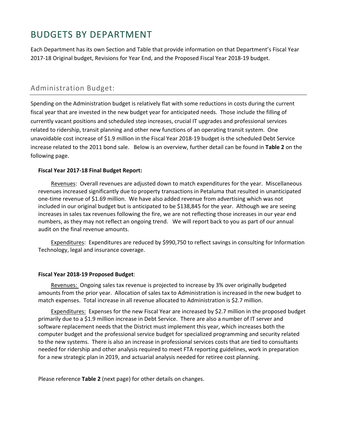## BUDGETS BY DEPARTMENT

Each Department has its own Section and Table that provide information on that Department's Fiscal Year 2017‐18 Original budget, Revisions for Year End, and the Proposed Fiscal Year 2018‐19 budget.

## Administration Budget:

Spending on the Administration budget is relatively flat with some reductions in costs during the current fiscal year that are invested in the new budget year for anticipated needs. Those include the filling of currently vacant positions and scheduled step increases, crucial IT upgrades and professional services related to ridership, transit planning and other new functions of an operating transit system. One unavoidable cost increase of \$1.9 million in the Fiscal Year 2018‐19 budget is the scheduled Debt Service increase related to the 2011 bond sale. Below is an overview, further detail can be found in **Table 2** on the following page.

#### **Fiscal Year 2017‐18 Final Budget Report:**

Revenues: Overall revenues are adjusted down to match expenditures for the year. Miscellaneous revenues increased significantly due to property transactions in Petaluma that resulted in unanticipated one‐time revenue of \$1.69 million. We have also added revenue from advertising which was not included in our original budget but is anticipated to be \$138,845 for the year. Although we are seeing increases in sales tax revenues following the fire, we are not reflecting those increases in our year end numbers, as they may not reflect an ongoing trend. We will report back to you as part of our annual audit on the final revenue amounts.

 Expenditures: Expenditures are reduced by \$990,750 to reflect savings in consulting for Information Technology, legal and insurance coverage.

#### **Fiscal Year 2018‐19 Proposed Budget**:

 Revenues: Ongoing sales tax revenue is projected to increase by 3% over originally budgeted amounts from the prior year. Allocation of sales tax to Administration is increased in the new budget to match expenses. Total increase in all revenue allocated to Administration is \$2.7 million.

 Expenditures: Expenses for the new Fiscal Year are increased by \$2.7 million in the proposed budget primarily due to a \$1.9 million increase in Debt Service. There are also a number of IT server and software replacement needs that the District must implement this year, which increases both the computer budget and the professional service budget for specialized programming and security related to the new systems. There is also an increase in professional services costs that are tied to consultants needed for ridership and other analysis required to meet FTA reporting guidelines, work in preparation for a new strategic plan in 2019, and actuarial analysis needed for retiree cost planning.

Please reference **Table 2** (next page) for other details on changes.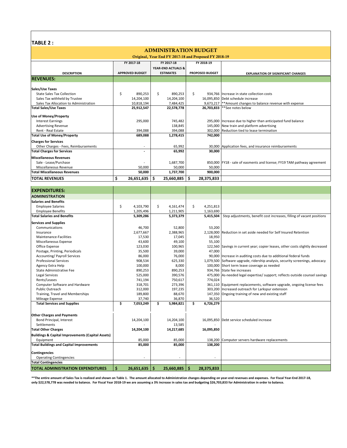#### **TABLE 2 :**

| <b>ADMINISTRATION BUDGET</b>                          |                  |                                             |                                                                         |  |  |  |  |  |  |  |  |
|-------------------------------------------------------|------------------|---------------------------------------------|-------------------------------------------------------------------------|--|--|--|--|--|--|--|--|
| Original, Year End FY 2017-18 and Proposed FY 2018-19 |                  |                                             |                                                                         |  |  |  |  |  |  |  |  |
| FY 2017-18                                            | FY 2017-18       | FY 2018-19                                  |                                                                         |  |  |  |  |  |  |  |  |
|                                                       |                  |                                             |                                                                         |  |  |  |  |  |  |  |  |
| <b>APPROVED BUDGET</b>                                | <b>ESTIMATES</b> | <b>PROPOSED BUDGET</b>                      | <b>EXPLANATION OF SIGNIFICANT CHANGES</b>                               |  |  |  |  |  |  |  |  |
|                                                       |                  |                                             |                                                                         |  |  |  |  |  |  |  |  |
|                                                       |                  |                                             |                                                                         |  |  |  |  |  |  |  |  |
|                                                       |                  | Ŝ.                                          | 934.766 Increase in state collection costs                              |  |  |  |  |  |  |  |  |
| 14,204,100                                            | 14,204,100       |                                             | 16,095,850 Debt schedule increase                                       |  |  |  |  |  |  |  |  |
| 10,818,194                                            | 7,484,425        |                                             | 9,673,217  **Amount changes to balance revenue with expense             |  |  |  |  |  |  |  |  |
| 25,912,547                                            | 22,578,778       |                                             | 26,703,833   ** See notes below                                         |  |  |  |  |  |  |  |  |
|                                                       |                  |                                             |                                                                         |  |  |  |  |  |  |  |  |
| 295,000                                               | 745,482          |                                             | 295,000 Increase due to higher than anticipated fund balance            |  |  |  |  |  |  |  |  |
|                                                       | 138,845          |                                             | 145,000 New train and platform advertising                              |  |  |  |  |  |  |  |  |
|                                                       | 394,088          |                                             | 302,000 Reduction tied to lease termination                             |  |  |  |  |  |  |  |  |
| 689,088                                               | 1,278,415        | 742,000                                     |                                                                         |  |  |  |  |  |  |  |  |
|                                                       |                  |                                             |                                                                         |  |  |  |  |  |  |  |  |
| $\sim$                                                | 65,992           |                                             | 30,000 Application fees, and insurance reimbursements                   |  |  |  |  |  |  |  |  |
|                                                       | 65,992           | 30,000                                      |                                                                         |  |  |  |  |  |  |  |  |
|                                                       |                  |                                             |                                                                         |  |  |  |  |  |  |  |  |
|                                                       | 1,687,700        |                                             | 850,000 FY18 - sale of easments and license; FY19 TAM pathway agreement |  |  |  |  |  |  |  |  |
| 50,000                                                | 50,000           | 50,000                                      |                                                                         |  |  |  |  |  |  |  |  |
| 50,000                                                | 1,737,700        | 900,000                                     |                                                                         |  |  |  |  |  |  |  |  |
|                                                       | 25,660,885       | Ŝ<br>28,375,833                             |                                                                         |  |  |  |  |  |  |  |  |
|                                                       | \$<br>890,253    | \$<br>890,253<br>394,088<br>$26,651,635$ \$ | <b>YEAR-END ACTUALS &amp;</b>                                           |  |  |  |  |  |  |  |  |

| <b>EXPENDITURES:</b>                              |                  |    |            |    |            |                                                                                |
|---------------------------------------------------|------------------|----|------------|----|------------|--------------------------------------------------------------------------------|
| <b>ADMINISTRATION</b>                             |                  |    |            |    |            |                                                                                |
| <b>Salaries and Benefits</b>                      |                  |    |            |    |            |                                                                                |
| <b>Employee Salaries</b>                          | \$<br>4,103,790  | \$ | 4,161,474  | \$ | 4,251,813  |                                                                                |
| <b>Employee Benefits</b>                          | 1,205,496        |    | 1,211,905  |    | 1,163,690  |                                                                                |
| <b>Total Salaries and Benefits</b>                | 5,309,286        |    | 5,373,379  |    | 5,415,504  | Step adjustments, benefit cost increases, filling of vacant positions          |
| <b>Services and Supplies</b>                      |                  |    |            |    |            |                                                                                |
| Communications                                    | 46,700           |    | 52,800     |    | 53,200     |                                                                                |
| Insurance                                         | 2,677,667        |    | 2,388,965  |    |            | 2,128,000 Reduction in set aside needed for Self Insured Retention             |
| Maintenance-Facilities                            | 17,530           |    | 17,045     |    | 18,950     |                                                                                |
| Miscellaneous Expense                             | 43,600           |    | 49,100     |    | 55.100     |                                                                                |
| Office Expense                                    | 123,030          |    | 100,965    |    |            | 122,560 Savings in current year; copier leases, other costs slightly decreased |
| Postage, Printing, Periodicals                    | 35,500           |    | 39,000     |    | 47,000     |                                                                                |
| <b>Accounting/Payroll Services</b>                | 86,000           |    | 76,000     |    |            | 90,000 Increase in auditing costs due to additional federal funds              |
| <b>Professional Services</b>                      | 908,534          |    | 625,330    |    |            | 1,079,500 Software upgrade, ridership analysis, security screenings, advocacy  |
| Agency Extra Help                                 | 100,000          |    | 8,000      |    |            | 100,000 Short term leave coverage as needed                                    |
| State Administrative Fee                          | 890,253          |    | 890,253    |    |            | 934,766 State fee increases                                                    |
| <b>Legal Services</b>                             | 525,000          |    | 390,576    |    |            | 475,000 As-needed legal expertise/ support; reflects outside counsel savings   |
| Rents/Leases                                      | 741,194          |    | 750,617    |    | 774,024    |                                                                                |
| Computer Software and Hardware                    | 318,701          |    | 273,396    |    |            | 361,110 Equipment replacements, software upgrade, ongoing license fees         |
| <b>Public Outreach</b>                            | 312,000          |    | 197,235    |    |            | 303,200 Increased outreach for Larkspur extension                              |
| Training, Travel and Memberships                  | 189,800          |    | 88,670     |    |            | 147,350 Ongoing training of new and existing staff                             |
| Mileage Expense                                   | 37,740           |    | 36,870     |    | 36,520     |                                                                                |
| <b>Total Services and Supplies</b>                | \$<br>7,053,249  | \$ | 5,984,821  | Ś. | 6,726,279  |                                                                                |
| <b>Other Charges and Payments</b>                 |                  |    |            |    |            |                                                                                |
| Bond Principal, Interest                          | 14,204,100       |    | 14,204,100 |    |            | 16,095,850 Debt service scheduled increase                                     |
| Settlements                                       |                  |    | 13,585     |    |            |                                                                                |
| <b>Total Other Charges</b>                        | 14,204,100       |    | 14,217,685 |    | 16,095,850 |                                                                                |
| Buildings & Capital Improvements (Capital Assets) |                  |    |            |    |            |                                                                                |
| Equipment                                         | 85,000           |    | 85,000     |    |            | 138,200 Computer servers hardware replacements                                 |
| <b>Total Buildings and Capital Improvements</b>   | 85,000           |    | 85,000     |    | 138,200    |                                                                                |
| <b>Contingencies</b>                              |                  |    |            |    |            |                                                                                |
| <b>Operating Contingencies</b>                    | ÷                |    | ÷,         |    |            |                                                                                |
| <b>Total Contingencies</b>                        |                  |    |            |    |            |                                                                                |
| <b>TOTAL ADMINISTRATION EXPENDITURES</b>          | \$<br>26,651,635 | Ŝ  | 25,660,885 | ١ś | 28,375,833 |                                                                                |

**\*\*The entire amount of Sales Tax is realized and shown on Table 1. The amount allocated to Administration changes depending on year‐end revenues and expenses. For Fiscal Year‐End 2017‐18, only \$22,578,778 was needed to balance. For Fiscal Year 2018‐19 we are assuming a 3% increase in sales tax and budgeting \$26,703,833 for Administration in order to balance.**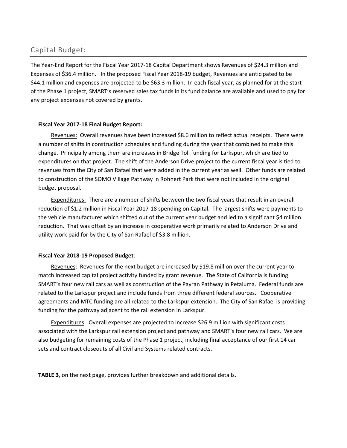### Capital Budget:

The Year‐End Report for the Fiscal Year 2017‐18 Capital Department shows Revenues of \$24.3 million and Expenses of \$36.4 million. In the proposed Fiscal Year 2018‐19 budget, Revenues are anticipated to be \$44.1 million and expenses are projected to be \$63.3 million. In each fiscal year, as planned for at the start of the Phase 1 project, SMART's reserved sales tax funds in its fund balance are available and used to pay for any project expenses not covered by grants.

#### **Fiscal Year 2017‐18 Final Budget Report:**

Revenues: Overall revenues have been increased \$8.6 million to reflect actual receipts. There were a number of shifts in construction schedules and funding during the year that combined to make this change. Principally among them are increases in Bridge Toll funding for Larkspur, which are tied to expenditures on that project. The shift of the Anderson Drive project to the current fiscal year is tied to revenues from the City of San Rafael that were added in the current year as well. Other funds are related to construction of the SOMO Village Pathway in Rohnert Park that were not included in the original budget proposal.

 Expenditures: There are a number of shifts between the two fiscal years that result in an overall reduction of \$1.2 million in Fiscal Year 2017‐18 spending on Capital. The largest shifts were payments to the vehicle manufacturer which shifted out of the current year budget and led to a significant \$4 million reduction. That was offset by an increase in cooperative work primarily related to Anderson Drive and utility work paid for by the City of San Rafael of \$3.8 million.

#### **Fiscal Year 2018‐19 Proposed Budget**:

 Revenues: Revenues for the next budget are increased by \$19.8 million over the current year to match increased capital project activity funded by grant revenue. The State of California is funding SMART's four new rail cars as well as construction of the Payran Pathway in Petaluma. Federal funds are related to the Larkspur project and include funds from three different federal sources. Cooperative agreements and MTC funding are all related to the Larkspur extension. The City of San Rafael is providing funding for the pathway adjacent to the rail extension in Larkspur.

 Expenditures: Overall expenses are projected to increase \$26.9 million with significant costs associated with the Larkspur rail extension project and pathway and SMART's four new rail cars. We are also budgeting for remaining costs of the Phase 1 project, including final acceptance of our first 14 car sets and contract closeouts of all Civil and Systems related contracts.

**TABLE 3**, on the next page, provides further breakdown and additional details.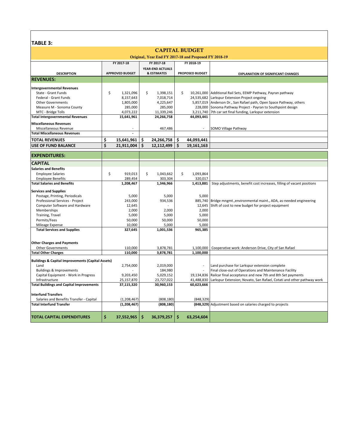### **TABLE 3:**

| IADLE 3.                                                          |    |                          |    |                          |            |                          |                                                                                                                      |  |  |  |  |
|-------------------------------------------------------------------|----|--------------------------|----|--------------------------|------------|--------------------------|----------------------------------------------------------------------------------------------------------------------|--|--|--|--|
| <b>CAPITAL BUDGET</b>                                             |    |                          |    |                          |            |                          |                                                                                                                      |  |  |  |  |
| Original, Year End FY 2017-18 and Proposed FY 2018-19             |    |                          |    |                          |            |                          |                                                                                                                      |  |  |  |  |
|                                                                   |    |                          |    |                          |            |                          |                                                                                                                      |  |  |  |  |
|                                                                   |    | FY 2017-18               |    | FY 2017-18               | FY 2018-19 |                          |                                                                                                                      |  |  |  |  |
|                                                                   |    |                          |    | <b>YEAR-END ACTUALS</b>  |            |                          |                                                                                                                      |  |  |  |  |
| <b>DESCRIPTION</b>                                                |    | <b>APPROVED BUDGET</b>   |    | <b>&amp; ESTIMATES</b>   |            | PROPOSED BUDGET          | <b>EXPLANATION OF SIGNIFICANT CHANGES</b>                                                                            |  |  |  |  |
| <b>REVENUES:</b>                                                  |    |                          |    |                          |            |                          |                                                                                                                      |  |  |  |  |
|                                                                   |    |                          |    |                          |            |                          |                                                                                                                      |  |  |  |  |
| <b>Intergovernmental Revenues</b>                                 |    |                          |    |                          |            |                          |                                                                                                                      |  |  |  |  |
| State - Grant Funds                                               | \$ | 1,321,096                | \$ | 1,398,151                | \$         | 10,261,000               | Additional Rail Sets, EEMP Pathway, Payran pathway                                                                   |  |  |  |  |
| Federal - Grant Funds                                             |    | 8,157,643                |    | 7,018,714                |            |                          | 24,535,682 Larkspur Extension Project ongoing                                                                        |  |  |  |  |
| <b>Other Governments</b>                                          |    | 1,805,000                |    | 4,225,647                |            |                          | 5,857,019 Anderson Dr., San Rafael path, Open Space Pathway, others                                                  |  |  |  |  |
| Measure M - Sonoma County                                         |    | 285,000                  |    | 285,000                  |            |                          | 228,000 Sonoma Pathway Project - Payran to Southpoint design                                                         |  |  |  |  |
| MTC - Bridge Tolls                                                |    | 4,073,222                |    | 11,339,246               |            |                          | 3,211,740 7th car set final funding, Larkspur extension                                                              |  |  |  |  |
| <b>Total Intergovernmental Revenues</b>                           |    | 15,641,961               |    | 24,266,758               |            | 44,093,441               |                                                                                                                      |  |  |  |  |
| <b>Miscellaneous Revenues</b>                                     |    |                          |    |                          |            |                          |                                                                                                                      |  |  |  |  |
| Miscellaneous Revenue                                             |    |                          |    | 467,486                  |            |                          | SOMO Village Pathway                                                                                                 |  |  |  |  |
| <b>Total Miscellaneous Revenues</b>                               |    | $\overline{a}$           |    |                          |            |                          |                                                                                                                      |  |  |  |  |
| <b>TOTAL REVENUES</b>                                             | \$ | 15,641,961               | \$ | 24,266,758               | \$.        | 44,093,441               |                                                                                                                      |  |  |  |  |
| <b>USE OF FUND BALANCE</b>                                        | \$ | 21,911,004               | \$ | 12,112,499               | \$         | 19.161.163               |                                                                                                                      |  |  |  |  |
|                                                                   |    |                          |    |                          |            |                          |                                                                                                                      |  |  |  |  |
| <b>EXPENDITURES:</b>                                              |    |                          |    |                          |            |                          |                                                                                                                      |  |  |  |  |
| <b>CAPITAL</b>                                                    |    |                          |    |                          |            |                          |                                                                                                                      |  |  |  |  |
| <b>Salaries and Benefits</b>                                      |    |                          |    |                          |            |                          |                                                                                                                      |  |  |  |  |
| <b>Employee Salaries</b>                                          | \$ | 919,013                  | \$ | 1,043,662                | \$         | 1,093,864                |                                                                                                                      |  |  |  |  |
| <b>Employee Benefits</b>                                          |    | 289,454                  |    | 303,304                  |            | 320,017                  |                                                                                                                      |  |  |  |  |
| <b>Total Salaries and Benefits</b>                                |    | 1,208,467                |    | 1,346,966                |            | 1,413,881                | Step adjustments, benefit cost increases, filling of vacant positions                                                |  |  |  |  |
|                                                                   |    |                          |    |                          |            |                          |                                                                                                                      |  |  |  |  |
| <b>Services and Supplies</b>                                      |    |                          |    |                          |            |                          |                                                                                                                      |  |  |  |  |
| Postage, Printing, Periodicals                                    |    | 5,000                    |    | 5,000                    |            | 5,000                    |                                                                                                                      |  |  |  |  |
| Professional Services - Project<br>Computer Software and Hardware |    | 243,000<br>12,645        |    | 934,536                  |            | 885,740<br>12,645        | Bridge mngmt., environmental maint., ADA, as-needed engineering<br>Shift of cost to new budget for project equipment |  |  |  |  |
| Memberships                                                       |    | 2,000                    |    | 2,000                    |            | 2,000                    |                                                                                                                      |  |  |  |  |
|                                                                   |    |                          |    |                          |            |                          |                                                                                                                      |  |  |  |  |
| Training, Travel                                                  |    | 5,000                    |    | 5,000                    |            | 5,000                    |                                                                                                                      |  |  |  |  |
| Permits/Fees<br>Mileage Expense                                   |    | 50,000<br>10,000         |    | 50,000<br>5,000          |            | 50,000<br>5,000          |                                                                                                                      |  |  |  |  |
| <b>Total Services and Supplies</b>                                |    | 327,645                  |    | 1,001,536                |            | 965,385                  |                                                                                                                      |  |  |  |  |
|                                                                   |    |                          |    |                          |            |                          |                                                                                                                      |  |  |  |  |
|                                                                   |    |                          |    |                          |            |                          |                                                                                                                      |  |  |  |  |
| <b>Other Charges and Payments</b>                                 |    |                          |    |                          |            |                          |                                                                                                                      |  |  |  |  |
| <b>Other Governments</b>                                          |    | 110,000                  |    | 3,878,781                |            | 1,100,000                | Cooperative work: Anderson Drive, City of San Rafael                                                                 |  |  |  |  |
| <b>Total Other Charges</b>                                        |    | 110,000                  |    | 3,878,781                |            | 1,100,000                |                                                                                                                      |  |  |  |  |
|                                                                   |    |                          |    |                          |            |                          |                                                                                                                      |  |  |  |  |
| <b>Buildings &amp; Capital Improvements (Capital Assets)</b>      |    |                          |    |                          |            |                          |                                                                                                                      |  |  |  |  |
| Land                                                              |    | 2,754,000                |    | 2,019,000                |            |                          | Land purchase for Larkspur extension complete                                                                        |  |  |  |  |
| <b>Buildings &amp; Improvements</b>                               |    |                          |    | 184,980                  |            |                          | Final close-out of Operations and Maintenance Facility                                                               |  |  |  |  |
| Capital Equipment - Work in Progress                              |    | 9,203,450                |    | 5,029,152                |            | 19,134,836               | Railcar final acceptance and new 7th and 8th Set payments                                                            |  |  |  |  |
| Infrastructure<br><b>Total Buildings and Capital Improvements</b> |    | 25,157,870<br>37,115,320 |    | 23,727,022<br>30,960,153 |            | 41,488,830<br>60,623,666 | Larkspur Extension; Novato, San Rafael, Cotati and other pathway work                                                |  |  |  |  |
|                                                                   |    |                          |    |                          |            |                          |                                                                                                                      |  |  |  |  |
| <b>Interfund Transfers</b>                                        |    |                          |    |                          |            |                          |                                                                                                                      |  |  |  |  |
| Salaries and Benefits Transfer - Capital                          |    | (1,208,467)              |    | (808, 180)               |            | (848, 329)               |                                                                                                                      |  |  |  |  |
| <b>Total Interfund Transfer</b>                                   |    | (1,208,467)              |    | (808, 180)               |            |                          | (848,329) Adjustment based on salaries charged to projects                                                           |  |  |  |  |
|                                                                   |    |                          |    |                          |            |                          |                                                                                                                      |  |  |  |  |
| <b>TOTAL CAPITAL EXPENDITURES</b>                                 | \$ | 37,552,965               | \$ | 36,379,257               | \$         | 63,254,604               |                                                                                                                      |  |  |  |  |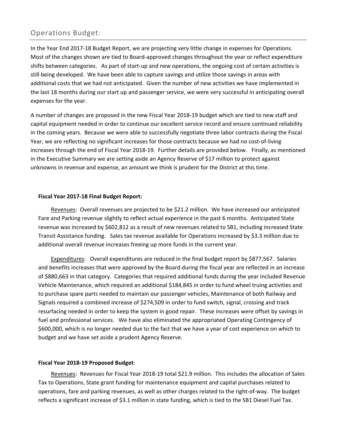## Operations Budget:

In the Year End 2017‐18 Budget Report, we are projecting very little change in expenses for Operations. Most of the changes shown are tied to Board‐approved changes throughout the year or reflect expenditure shifts between categories. As part of start‐up and new operations, the ongoing cost of certain activities is still being developed. We have been able to capture savings and utilize those savings in areas with additional costs that we had not anticipated. Given the number of new activities we have implemented in the last 18 months during our start up and passenger service, we were very successful in anticipating overall expenses for the year.

A number of changes are proposed in the new Fiscal Year 2018‐19 budget which are tied to new staff and capital equipment needed in order to continue our excellent service record and ensure continued reliability in the coming years. Because we were able to successfully negotiate three labor contracts during the Fiscal Year, we are reflecting no significant increases for those contracts because we had no cost‐of‐living increases through the end of Fiscal Year 2018‐19. Further details are provided below. Finally, as mentioned in the Executive Summary we are setting aside an Agency Reserve of \$17 million to protect against unknowns in revenue and expense, an amount we think is prudent for the District at this time.

#### **Fiscal Year 2017‐18 Final Budget Report:**

Revenues: Overall revenues are projected to be \$21.2 million. We have increased our anticipated Fare and Parking revenue slightly to reflect actual experience in the past 6 months. Anticipated State revenue was increased by \$602,812 as a result of new revenues related to SB1, including increased State Transit Assistance funding. Sales tax revenue available for Operations increased by \$3.3 million due to additional overall revenue increases freeing up more funds in the current year.

 Expenditures: Overall expenditures are reduced in the final budget report by \$877,567. Salaries and benefits increases that were approved by the Board during the fiscal year are reflected in an increase of \$880,663 in that category. Categories that required additional funds during the year included Revenue Vehicle Maintenance, which required an additional \$184,845 in order to fund wheel truing activities and to purchase spare parts needed to maintain our passenger vehicles, Maintenance of both Railway and Signals required a combined increase of \$274,509 in order to fund switch, signal, crossing and track resurfacing needed in order to keep the system in good repair. These increases were offset by savings in fuel and professional services. We have also eliminated the appropriated Operating Contingency of \$600,000, which is no longer needed due to the fact that we have a year of cost experience on which to budget and we have set aside a prudent Agency Reserve.

#### **Fiscal Year 2018‐19 Proposed Budget**:

 Revenues: Revenues for Fiscal Year 2018‐19 total \$21.9 million. This includes the allocation of Sales Tax to Operations, State grant funding for maintenance equipment and capital purchases related to operations, fare and parking revenues, as well as other charges related to the right‐of‐way. The budget reflects a significant increase of \$3.1 million in state funding, which is tied to the SB1 Diesel Fuel Tax.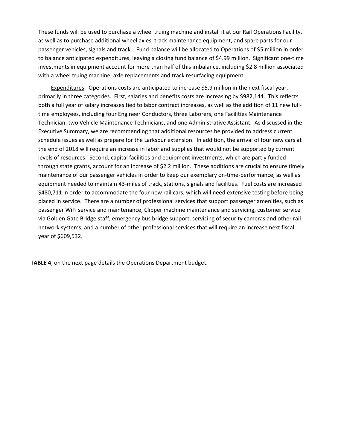These funds will be used to purchase a wheel truing machine and install it at our Rail Operations Facility, as well as to purchase additional wheel axles, track maintenance equipment, and spare parts for our passenger vehicles, signals and track. Fund balance will be allocated to Operations of \$5 million in order to balance anticipated expenditures, leaving a closing fund balance of \$4.99 million. Significant one‐time investments in equipment account for more than half of this imbalance, including \$2.8 million associated with a wheel truing machine, axle replacements and track resurfacing equipment.

 Expenditures: Operations costs are anticipated to increase \$5.9 million in the next fiscal year, primarily in three categories. First, salaries and benefits costs are increasing by \$982,144. This reflects both a full year of salary increases tied to labor contract increases, as well as the addition of 11 new full‐ time employees, including four Engineer Conductors, three Laborers, one Facilities Maintenance Technician, two Vehicle Maintenance Technicians, and one Administrative Assistant. As discussed in the Executive Summary, we are recommending that additional resources be provided to address current schedule issues as well as prepare for the Larkspur extension. In addition, the arrival of four new cars at the end of 2018 will require an increase in labor and supplies that would not be supported by current levels of resources. Second, capital facilities and equipment investments, which are partly funded through state grants, account for an increase of \$2.2 million. These additions are crucial to ensure timely maintenance of our passenger vehicles in order to keep our exemplary on‐time‐performance, as well as equipment needed to maintain 43-miles of track, stations, signals and facilities. Fuel costs are increased \$480,711 in order to accommodate the four new rail cars, which will need extensive testing before being placed in service. There are a number of professional services that support passenger amenities, such as passenger WiFi service and maintenance, Clipper machine maintenance and servicing, customer service via Golden Gate Bridge staff, emergency bus bridge support, servicing of security cameras and other rail network systems, and a number of other professional services that will require an increase next fiscal year of \$609,532.

**TABLE 4**, on the next page details the Operations Department budget.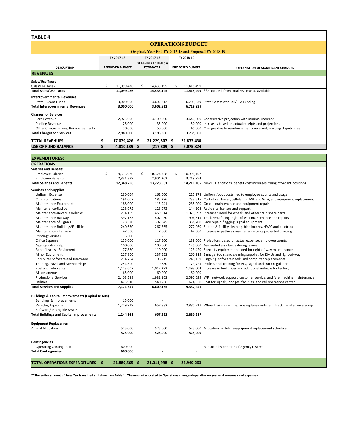|  | TABLE | Δ |
|--|-------|---|
|--|-------|---|

#### **FY 2017‐18 FY 2017‐18 FY 2018‐19 DESCRIPTION APPROVED BUDGET YEAR‐END ACTUALS & PROPOSED BUDGET REVENUES: Sales/Use Taxes** Sales/Use Taxes \$ 14,433,195 11,099,426 \$ 11,418,499 \$ **Total Sales/Use Taxes 11,099,426 14,433,195 11,418,499**  \*\*Allocated from total revenue as available **Intergovernmental Revenues** State ‐ Grant Funds 3,602,812 3,000,000 6,709,939 State Commuter Rail/STA Funding **Total Intergovernmental Revenues 3,000,000 3,602,812 6,719,939 Charges for Services** Fare Revenue 2,925,000 3,100,000 3,640,000 Conservative projection with minimal increase Parking Revenue<br>
25,000 0 35,000 150,000 160,000 160,000 160,000 160,000 160,000 160,000 160,000 160,000 160,000 160,000 160,000 160,000 160,000 160,000 160,000 160,000 160,000 160,000 160,000 160,000 160,000 160,000 160,0 0.000 58,800 58,800 45,000 Changes due to reimbursements received; ongoing dispatch fee<br> **2,980,000** 3,193,800 3,735,000 **Total Charges for Services TOTAL REVENUES 17,079,42 \$ 21,229,807 6 \$ 21,873,43 \$ 8 USE OF FUND BALANCE: 4,810,139 \$ (217,809) \$ 5,075,824 \$**  OPERATIONS BUDGET Original, Year End FY 2017-18 and Proposed FY 2018-19 **EXPLANATION OF SIGNIFICANT CHANGES**

| <b>EXPENDITURES:</b>                                         |                  |                  |                  |                                                                                   |
|--------------------------------------------------------------|------------------|------------------|------------------|-----------------------------------------------------------------------------------|
| <b>OPERATIONS</b>                                            |                  |                  |                  |                                                                                   |
| <b>Salaries and Benefits</b>                                 |                  |                  |                  |                                                                                   |
| <b>Employee Salaries</b>                                     | \$<br>9,516,920  | \$<br>10,324,758 | \$<br>10,991,152 |                                                                                   |
| <b>Employee Benefits</b>                                     | 2,831,379        | 2,904,203        | 3,219,954        |                                                                                   |
| <b>Total Salaries and Benefits</b>                           | 12,348,298       | 13,228,961       |                  | 14,211,105 New FTE additions, benefit cost increases, filling of vacant positions |
|                                                              |                  |                  |                  |                                                                                   |
| <b>Services and Supplies</b>                                 |                  |                  |                  |                                                                                   |
| Uniform Expense                                              | 230,064          | 162,000          |                  | 225,978 Uniform/boot costs tied to employee counts and usage                      |
| Communications                                               | 191,007          | 185,296          |                  | 233,515 Cost of call boxes, cellular for AVL and WiFi, and equipment replacement  |
| Maintenance-Equipment                                        | 188,000          | 113,941          |                  | 235,000 On-call maintenance and equipment repair                                  |
| Maintenance-Radios                                           | 128,675          | 128,675          | 144,108          | Radio site licenses and support                                                   |
| Maintenance-Revenue Vehicles                                 | 274,169          | 459,014          | 1,026,097        | Increased need for wheels and other train spare parts                             |
| Maintenance-Railway                                          | 397,165          | 407,050          |                  | 904,615 Track resurfacing, right-of-way maintenance and repairs                   |
| Maintenance of Signals                                       | 128,320          | 392,945          |                  | 358,200 Gate repair, flagging, signal equipment                                   |
| Maintenance-Buildings/Facilities                             | 240,660          | 267,565          |                  | 277,960 Station & facility cleaning, bike lockers, HVAC and electrical            |
| Maintenance - Pathway                                        | 42,500           | 7,000            | 42,500           | Increase in pathway maintenance costs projected ongoing                           |
| <b>Printing Services</b>                                     | 5,000            |                  |                  |                                                                                   |
| Office Expense                                               | 155,000          | 117,500          | 138,000          | Projections based on actual expense, employee counts                              |
| Agency Extra Help                                            | 100,000          | 100,000          | 125,000          | As-needed assistance during leaves                                                |
| Rents/Leases - Equipment                                     | 77,880           | 110,000          |                  | 123,420 Specialty equipment needed for right-of-way maintenance                   |
| Minor Equipment                                              | 227,800          | 237,553          |                  | 260,915 Signage, tools, and cleaning supplies for DMUs and right-of-way           |
| Computer Software and Hardware                               | 214,754          | 198,215          |                  | 240,159 Ongoing software needs and computer replacements                          |
| Training, Travel and Memberships                             | 254,300          | 119,680          |                  | 179,725 Professional training for PTC, signal and track regulations               |
| <b>Fuel and Lubricants</b>                                   | 1,423,607        | 1,012,293        | 1,493,004        | Increase in fuel prices and additional mileage for testing                        |
| Miscellaneous                                                | 65,000           | 60,000           | 60,000           |                                                                                   |
| <b>Professional Services</b>                                 | 2,403,538        | 1,981,163        | 2,590,695        | WiFi, network support, customer service, and fare machine maintenance             |
| <b>Utilities</b>                                             | 423,910          | 540,266          | 674,050          | Cost for signals, bridges, facilities, and rail operations center                 |
| <b>Total Services and Supplies</b>                           | 7,171,347        | 6,600,155        | 9,332,941        |                                                                                   |
|                                                              |                  |                  |                  |                                                                                   |
| <b>Buildings &amp; Capital Improvements (Capital Assets)</b> |                  |                  |                  |                                                                                   |
| Buildings & Improvements                                     | 15,000           |                  |                  |                                                                                   |
| Vehicles, Equipment                                          | 1,229,919        | 657,882          | 2,880,217        | Wheel truing machine, axle replacements, and track maintenance equip.             |
| Software/ Intangible Assets                                  |                  |                  |                  |                                                                                   |
| <b>Total Buildings and Capital Improvements</b>              | 1,244,919        | 657,882          | 2,880,217        |                                                                                   |
| <b>Equipment Replacement</b>                                 |                  |                  |                  |                                                                                   |
| <b>Annual Allocation</b>                                     | 525,000          | 525,000          | 525,000          | Allocation for future equipment replacement schedule                              |
|                                                              | 525,000          | 525,000          | 525,000          |                                                                                   |
|                                                              |                  |                  |                  |                                                                                   |
| <b>Contingencies</b>                                         |                  |                  |                  |                                                                                   |
| <b>Operating Contingencies</b>                               | 600.000          |                  |                  | Replaced by creation of Agency reserve                                            |
| <b>Total Contingencies</b>                                   | 600,000          | ÷.               |                  |                                                                                   |
|                                                              |                  |                  |                  |                                                                                   |
| <b>TOTAL OPERATIONS EXPENDITURES</b>                         | \$<br>21,889,565 | \$<br>21,011,998 | \$<br>26,949,263 |                                                                                   |

\*\*The entire amount of Sales Tax is realized and shown on Table 1. The amount allocated to Operations changes depending on year-end revenues and expenses.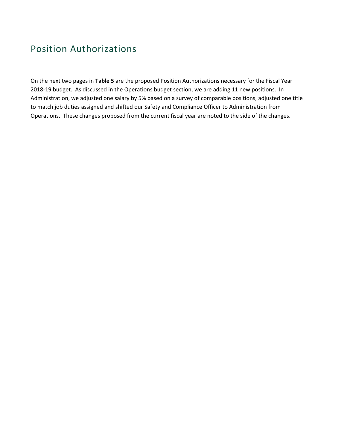## Position Authorizations

On the next two pages in **Table 5** are the proposed Position Authorizations necessary for the Fiscal Year 2018-19 budget. As discussed in the Operations budget section, we are adding 11 new positions. In Administration, we adjusted one salary by 5% based on a survey of comparable positions, adjusted one title to match job duties assigned and shifted our Safety and Compliance Officer to Administration from Operations. These changes proposed from the current fiscal year are noted to the side of the changes.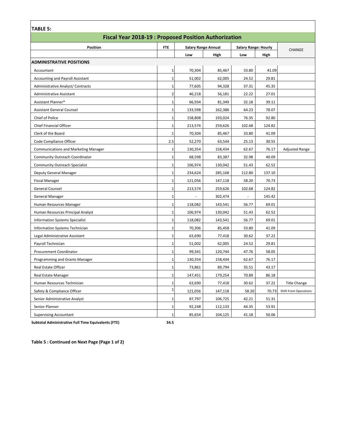| <b>TABLE 5:</b>                                             |                |                            |         |                             |        |                              |  |  |  |
|-------------------------------------------------------------|----------------|----------------------------|---------|-----------------------------|--------|------------------------------|--|--|--|
| <b>Fiscal Year 2018-19: Proposed Position Authorization</b> |                |                            |         |                             |        |                              |  |  |  |
| Position                                                    | <b>FTE</b>     | <b>Salary Range Annual</b> |         | <b>Salary Range: Hourly</b> |        |                              |  |  |  |
|                                                             |                | Low                        | High    | Low                         | High   | <b>CHANGE</b>                |  |  |  |
| <b>ADMINISTRATIVE POSITIONS</b>                             |                |                            |         |                             |        |                              |  |  |  |
| Accountant                                                  | 1              | 70,304                     | 85,467  | 33.80                       | 41.09  |                              |  |  |  |
| Accounting and Payroll Assistant                            | 1              | 51,002                     | 62,005  | 24.52                       | 29.81  |                              |  |  |  |
| Administrative Analyst/ Contracts                           | 1              | 77,605                     | 94,328  | 37.31                       | 45.35  |                              |  |  |  |
| Administrative Assistant                                    | $\overline{2}$ | 46,218                     | 56,181  | 22.22                       | 27.01  |                              |  |  |  |
| Assistant Planner*                                          | 1              | 66,934                     | 81,349  | 32.18                       | 39.11  |                              |  |  |  |
| <b>Assistant General Counsel</b>                            | 1              | 133,598                    | 162,386 | 64.23                       | 78.07  |                              |  |  |  |
| Chief of Police                                             | 1              | 158,808                    | 193,024 | 76.35                       | 92.80  |                              |  |  |  |
| Chief Financial Officer                                     | 1              | 213,574                    | 259,626 | 102.68                      | 124.82 |                              |  |  |  |
| Clerk of the Board                                          | 1              | 70,304                     | 85,467  | 33.80                       | 41.09  |                              |  |  |  |
| Code Compliance Officer                                     | 2.5            | 52,270                     | 63,544  | 25.13                       | 30.55  |                              |  |  |  |
| <b>Communications and Marketing Manager</b>                 | 1              | 130,354                    | 158,434 | 62.67                       | 76.17  | <b>Adjusted Range</b>        |  |  |  |
| <b>Community Outreach Coordinator</b>                       | 1              | 68,598                     | 83,387  | 32.98                       | 40.09  |                              |  |  |  |
| <b>Community Outreach Specialist</b>                        | $\mathbf{1}$   | 106,974                    | 130,042 | 51.43                       | 62.52  |                              |  |  |  |
| Deputy General Manager                                      | $\mathbf{1}$   | 234,624                    | 285,168 | 112.80                      | 137.10 |                              |  |  |  |
| <b>Fiscal Manager</b>                                       | 1              | 121,056                    | 147,118 | 58.20                       | 70.73  |                              |  |  |  |
| General Counsel                                             | $\mathbf{1}$   | 213,574                    | 259,626 | 102.68                      | 124.82 |                              |  |  |  |
| <b>General Manager</b>                                      | $\mathbf{1}$   | $\sim$                     | 302,474 | $\overline{\phantom{a}}$    | 145.42 |                              |  |  |  |
| Human Resources Manager                                     | 1              | 118,082                    | 143,541 | 56.77                       | 69.01  |                              |  |  |  |
| Human Resources Principal Analyst                           | 1              | 106,974                    | 130,042 | 51.43                       | 62.52  |                              |  |  |  |
| <b>Information Systems Specialist</b>                       | $\mathbf{1}$   | 118,082                    | 143,541 | 56.77                       | 69.01  |                              |  |  |  |
| Information Systems Technician                              | $\mathbf{1}$   | 70,306                     | 85,458  | 33.80                       | 41.09  |                              |  |  |  |
| Legal Administrative Assistant                              | $\mathbf{1}$   | 63,690                     | 77,418  | 30.62                       | 37.22  |                              |  |  |  |
| Payroll Technician                                          | $\mathbf{1}$   | 51,002                     | 62,005  | 24.52                       | 29.81  |                              |  |  |  |
| Procurement Coordinator                                     | $\mathbf{1}$   | 99,341                     | 120,744 | 47.76                       | 58.05  |                              |  |  |  |
| Programming and Grants Manager                              | 1              | 130,354                    | 158,434 | 62.67                       | 76.17  |                              |  |  |  |
| Real Estate Officer                                         | 1              | 73,861                     | 89,794  | 35.51                       | 43.17  |                              |  |  |  |
| <b>Real Estate Manager</b>                                  | 1              | 147,451                    | 179,254 | 70.89                       | 86.18  |                              |  |  |  |
| Human Resources Technician                                  | 1              | 63,690                     | 77,418  | 30.62                       | 37.22  | <b>Title Change</b>          |  |  |  |
| Safety & Compliance Officer                                 | $\mathbf 1$    | 121,056                    | 147,118 | 58.20                       | 70.73  | <b>Shift From Operations</b> |  |  |  |
| Senior Administrative Analyst                               | 1              | 87,797                     | 106,725 | 42.21                       | 51.31  |                              |  |  |  |
| Senior Planner                                              | 1              | 92,248                     | 112,133 | 44.35                       | 53.91  |                              |  |  |  |
| <b>Supervising Accountant</b>                               | 1              | 85,654                     | 104,125 | 41.18                       | 50.06  |                              |  |  |  |

**Subtotal Administrative Full Time Equivalents (FTE) 34.5**

**Table 5 : Continued on Next Page (Page 1 of 2)**